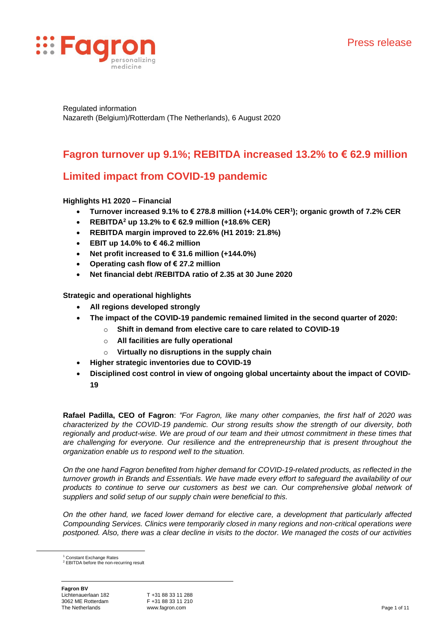

Regulated information Nazareth (Belgium)/Rotterdam (The Netherlands), 6 August 2020

# **Fagron turnover up 9.1%; REBITDA increased 13.2% to € 62.9 million**

# **Limited impact from COVID-19 pandemic**

# **Highlights H1 2020 – Financial**

- **Turnover increased 9.1% to € 278.8 million (+14.0% CER<sup>1</sup> ); organic growth of 7.2% CER**
- **REBITDA<sup>2</sup> up 13.2% to € 62.9 million (+18.6% CER)**
- **REBITDA margin improved to 22.6% (H1 2019: 21.8%)**
- **EBIT up 14.0% to €46.2 million**
- **Net profit increased to € 31.6 million (+144.0%)**
- **Operating cash flow of € 27.2 million**
- **Net financial debt /REBITDA ratio of 2.35 at 30 June 2020**

# **Strategic and operational highlights**

- **All regions developed strongly**
- **The impact of the COVID-19 pandemic remained limited in the second quarter of 2020:**
	- o **Shift in demand from elective care to care related to COVID-19** 
		- o **All facilities are fully operational**
		- o **Virtually no disruptions in the supply chain**
- **Higher strategic inventories due to COVID-19**
- **Disciplined cost control in view of ongoing global uncertainty about the impact of COVID-19**

**Rafael Padilla, CEO of Fagron**: *"For Fagron, like many other companies, the first half of 2020 was characterized by the COVID-19 pandemic. Our strong results show the strength of our diversity, both regionally and product-wise. We are proud of our team and their utmost commitment in these times that are challenging for everyone. Our resilience and the entrepreneurship that is present throughout the organization enable us to respond well to the situation.*

*On the one hand Fagron benefited from higher demand for COVID-19-related products, as reflected in the turnover growth in Brands and Essentials. We have made every effort to safeguard the availability of our products to continue to serve our customers as best we can. Our comprehensive global network of suppliers and solid setup of our supply chain were beneficial to this.*

*On the other hand, we faced lower demand for elective care, a development that particularly affected Compounding Services. Clinics were temporarily closed in many regions and non-critical operations were postponed. Also, there was a clear decline in visits to the doctor. We managed the costs of our activities* 

Constant Exchange Rates <sup>2</sup> EBITDA before the non-recurring result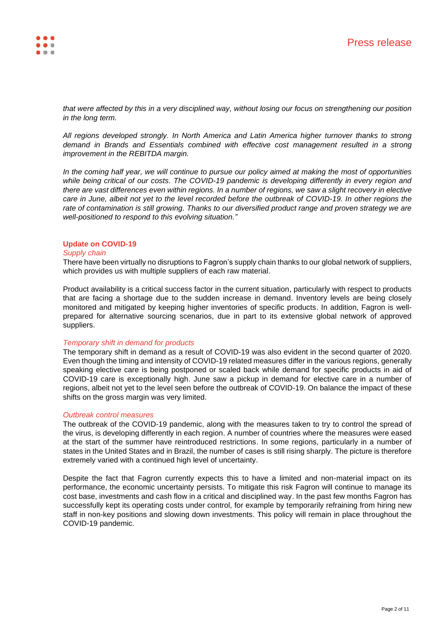

*that were affected by this in a very disciplined way, without losing our focus on strengthening our position in the long term.* 

*All regions developed strongly. In North America and Latin America higher turnover thanks to strong demand in Brands and Essentials combined with effective cost management resulted in a strong improvement in the REBITDA margin.* 

*In the coming half year, we will continue to pursue our policy aimed at making the most of opportunities while being critical of our costs. The COVID-19 pandemic is developing differently in every region and there are vast differences even within regions. In a number of regions, we saw a slight recovery in elective care in June, albeit not yet to the level recorded before the outbreak of COVID-19. In other regions the rate of contamination is still growing. Thanks to our diversified product range and proven strategy we are well-positioned to respond to this evolving situation."*

### **Update on COVID-19**

### *Supply chain*

There have been virtually no disruptions to Fagron's supply chain thanks to our global network of suppliers, which provides us with multiple suppliers of each raw material.

Product availability is a critical success factor in the current situation, particularly with respect to products that are facing a shortage due to the sudden increase in demand. Inventory levels are being closely monitored and mitigated by keeping higher inventories of specific products. In addition, Fagron is wellprepared for alternative sourcing scenarios, due in part to its extensive global network of approved suppliers.

### *Temporary shift in demand for products*

The temporary shift in demand as a result of COVID-19 was also evident in the second quarter of 2020. Even though the timing and intensity of COVID-19 related measures differ in the various regions, generally speaking elective care is being postponed or scaled back while demand for specific products in aid of COVID-19 care is exceptionally high. June saw a pickup in demand for elective care in a number of regions, albeit not yet to the level seen before the outbreak of COVID-19. On balance the impact of these shifts on the gross margin was very limited.

### *Outbreak control measures*

The outbreak of the COVID-19 pandemic, along with the measures taken to try to control the spread of the virus, is developing differently in each region. A number of countries where the measures were eased at the start of the summer have reintroduced restrictions. In some regions, particularly in a number of states in the United States and in Brazil, the number of cases is still rising sharply. The picture is therefore extremely varied with a continued high level of uncertainty.

Despite the fact that Fagron currently expects this to have a limited and non-material impact on its performance, the economic uncertainty persists. To mitigate this risk Fagron will continue to manage its cost base, investments and cash flow in a critical and disciplined way. In the past few months Fagron has successfully kept its operating costs under control, for example by temporarily refraining from hiring new staff in non-key positions and slowing down investments. This policy will remain in place throughout the COVID-19 pandemic.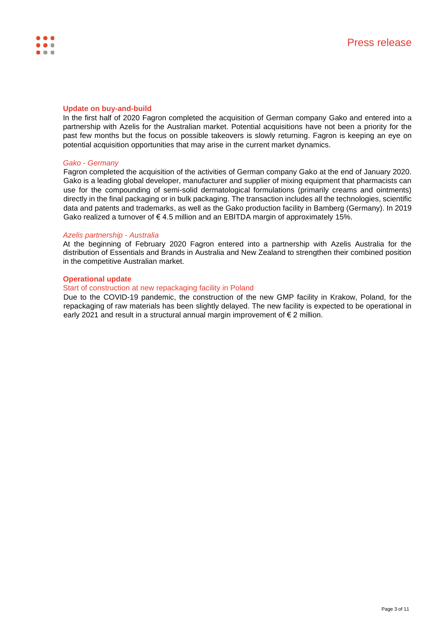

### **Update on buy-and-build**

In the first half of 2020 Fagron completed the acquisition of German company Gako and entered into a partnership with Azelis for the Australian market. Potential acquisitions have not been a priority for the past few months but the focus on possible takeovers is slowly returning. Fagron is keeping an eye on potential acquisition opportunities that may arise in the current market dynamics.

### *Gako - Germany*

Fagron completed the acquisition of the activities of German company Gako at the end of January 2020. Gako is a leading global developer, manufacturer and supplier of mixing equipment that pharmacists can use for the compounding of semi-solid dermatological formulations (primarily creams and ointments) directly in the final packaging or in bulk packaging. The transaction includes all the technologies, scientific data and patents and trademarks, as well as the Gako production facility in Bamberg (Germany). In 2019 Gako realized a turnover of  $\epsilon$  4.5 million and an EBITDA margin of approximately 15%.

### *Azelis partnership - Australia*

At the beginning of February 2020 Fagron entered into a partnership with Azelis Australia for the distribution of Essentials and Brands in Australia and New Zealand to strengthen their combined position in the competitive Australian market.

### **Operational update**

### Start of construction at new repackaging facility in Poland

Due to the COVID-19 pandemic, the construction of the new GMP facility in Krakow, Poland, for the repackaging of raw materials has been slightly delayed. The new facility is expected to be operational in early 2021 and result in a structural annual margin improvement of €2 million.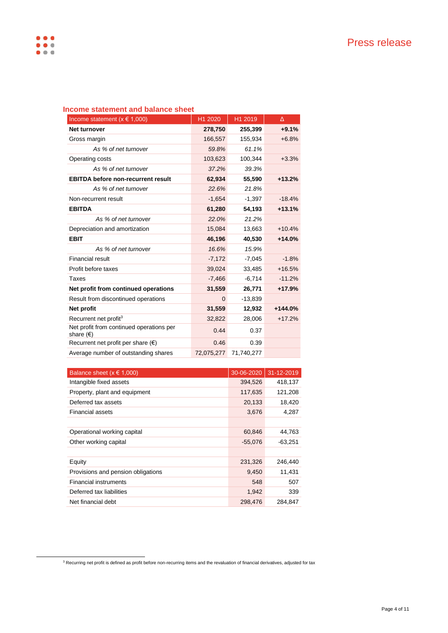| $\frac{1}{2}$                                               |            |            |           |
|-------------------------------------------------------------|------------|------------|-----------|
| Income statement ( $x \in 1,000$ )                          | H1 2020    | H1 2019    | Δ         |
| Net turnover                                                | 278,750    | 255,399    | $+9.1%$   |
| Gross margin                                                | 166,557    | 155,934    | $+6.8%$   |
| As % of net turnover                                        | 59.8%      | 61.1%      |           |
| Operating costs                                             | 103,623    | 100,344    | $+3.3%$   |
| As % of net turnover                                        | 37.2%      | 39.3%      |           |
| <b>EBITDA before non-recurrent result</b>                   | 62,934     | 55,590     | $+13.2%$  |
| As % of net turnover                                        | 22.6%      | 21.8%      |           |
| Non-recurrent result                                        | $-1,654$   | $-1,397$   | $-18.4%$  |
| <b>EBITDA</b>                                               | 61,280     | 54,193     | $+13.1%$  |
| As % of net turnover                                        | 22.0%      | 21.2%      |           |
| Depreciation and amortization                               | 15.084     | 13.663     | $+10.4%$  |
| <b>EBIT</b>                                                 | 46.196     | 40,530     | $+14.0%$  |
| As % of net turnover                                        | 16.6%      | 15.9%      |           |
| Financial result                                            | $-7,172$   | $-7,045$   | $-1.8%$   |
| Profit before taxes                                         | 39,024     | 33,485     | $+16.5%$  |
| Taxes                                                       | $-7,466$   | $-6,714$   | $-11.2%$  |
| Net profit from continued operations                        | 31,559     | 26,771     | $+17.9%$  |
| Result from discontinued operations                         | $\Omega$   | $-13,839$  |           |
| Net profit                                                  | 31,559     | 12,932     | $+144.0%$ |
| Recurrent net profit <sup>3</sup>                           | 32,822     | 28,006     | $+17.2%$  |
| Net profit from continued operations per<br>share $( \in )$ | 0.44       | 0.37       |           |
| Recurrent net profit per share $(\epsilon)$                 | 0.46       | 0.39       |           |
| Average number of outstanding shares                        | 72,075,277 | 71.740.277 |           |

# **Income statement and balance sheet**

| Balance sheet $(x \in 1,000)$      | 30-06-2020 | 31-12-2019 |
|------------------------------------|------------|------------|
| Intangible fixed assets            | 394,526    | 418,137    |
| Property, plant and equipment      | 117,635    | 121,208    |
| Deferred tax assets                | 20,133     | 18,420     |
| <b>Financial assets</b>            | 3,676      | 4,287      |
|                                    |            |            |
| Operational working capital        | 60,846     | 44,763     |
| Other working capital              | $-55,076$  | $-63,251$  |
|                                    |            |            |
| Equity                             | 231,326    | 246,440    |
| Provisions and pension obligations | 9,450      | 11,431     |
| <b>Financial instruments</b>       | 548        | 507        |
| Deferred tax liabilities           | 1,942      | 339        |
| Net financial debt                 | 298,476    | 284.847    |

 $3$  Recurring net profit is defined as profit before non-recurring items and the revaluation of financial derivatives, adjusted for tax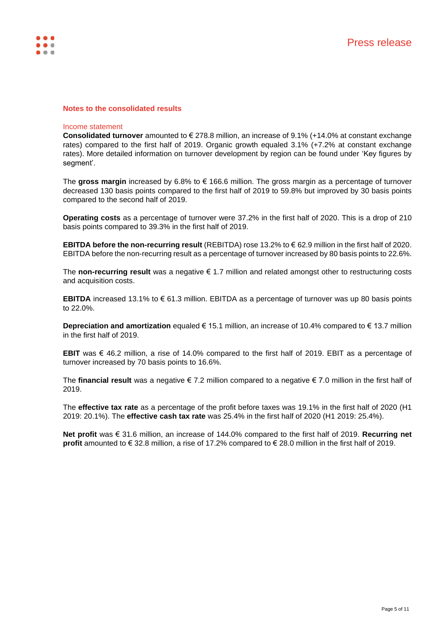

### **Notes to the consolidated results**

#### Income statement

**Consolidated turnover** amounted to € 278.8 million, an increase of 9.1% (+14.0% at constant exchange rates) compared to the first half of 2019. Organic growth equaled 3.1% (+7.2% at constant exchange rates). More detailed information on turnover development by region can be found under 'Key figures by segment'.

The **gross margin** increased by 6.8% to € 166.6 million. The gross margin as a percentage of turnover decreased 130 basis points compared to the first half of 2019 to 59.8% but improved by 30 basis points compared to the second half of 2019.

**Operating costs** as a percentage of turnover were 37.2% in the first half of 2020. This is a drop of 210 basis points compared to 39.3% in the first half of 2019.

**EBITDA before the non-recurring result** (REBITDA) rose 13.2% to € 62.9 million in the first half of 2020. EBITDA before the non-recurring result as a percentage of turnover increased by 80 basis points to 22.6%.

The **non-recurring result** was a negative € 1.7 million and related amongst other to restructuring costs and acquisition costs.

**EBITDA** increased 13.1% to € 61.3 million. EBITDA as a percentage of turnover was up 80 basis points to 22.0%.

**Depreciation and amortization** equaled € 15.1 million, an increase of 10.4% compared to € 13.7 million in the first half of 2019.

**EBIT** was € 46.2 million, a rise of 14.0% compared to the first half of 2019. EBIT as a percentage of turnover increased by 70 basis points to 16.6%.

The **financial result** was a negative € 7.2 million compared to a negative € 7.0 million in the first half of 2019.

The **effective tax rate** as a percentage of the profit before taxes was 19.1% in the first half of 2020 (H1 2019: 20.1%). The **effective cash tax rate** was 25.4% in the first half of 2020 (H1 2019: 25.4%).

**Net profit** was € 31.6 million, an increase of 144.0% compared to the first half of 2019. **Recurring net profit** amounted to € 32.8 million, a rise of 17.2% compared to € 28.0 million in the first half of 2019.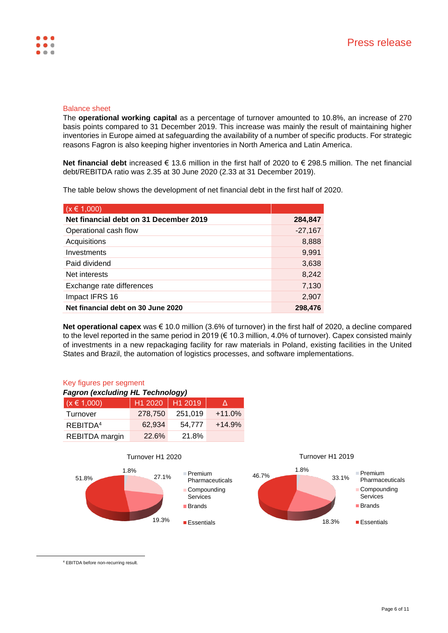## Balance sheet

The **operational working capital** as a percentage of turnover amounted to 10.8%, an increase of 270 basis points compared to 31 December 2019. This increase was mainly the result of maintaining higher inventories in Europe aimed at safeguarding the availability of a number of specific products. For strategic reasons Fagron is also keeping higher inventories in North America and Latin America.

**Net financial debt** increased € 13.6 million in the first half of 2020 to € 298.5 million. The net financial debt/REBITDA ratio was 2.35 at 30 June 2020 (2.33 at 31 December 2019).

The table below shows the development of net financial debt in the first half of 2020.

| $(x \in 1,000)$                        |           |
|----------------------------------------|-----------|
| Net financial debt on 31 December 2019 | 284,847   |
| Operational cash flow                  | $-27,167$ |
| Acquisitions                           | 8,888     |
| Investments                            | 9,991     |
| Paid dividend                          | 3,638     |
| Net interests                          | 8,242     |
| Exchange rate differences              | 7,130     |
| Impact IFRS 16                         | 2,907     |
| Net financial debt on 30 June 2020     | 298,476   |

**Net operational capex** was € 10.0 million (3.6% of turnover) in the first half of 2020, a decline compared to the level reported in the same period in 2019 (€ 10.3 million, 4.0% of turnover). Capex consisted mainly of investments in a new repackaging facility for raw materials in Poland, existing facilities in the United States and Brazil, the automation of logistics processes, and software implementations.

# Key figures per segment

| <b>Fagron (excluding HL Technology)</b> |         |         |          |
|-----------------------------------------|---------|---------|----------|
| $(x \in 1,000)$                         | H1 2020 | H1 2019 | Λ        |
| Turnover                                | 278,750 | 251,019 | $+11.0%$ |
| REBITDA <sup>4</sup>                    | 62.934  | 54.777  | $+14.9%$ |
| REBITDA margin                          | 22.6%   | 21.8%   |          |



Turnover H1 2019



<sup>4</sup> EBITDA before non-recurring result.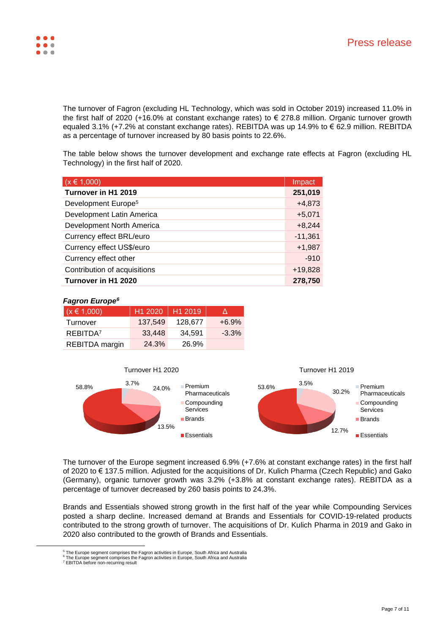The turnover of Fagron (excluding HL Technology, which was sold in October 2019) increased 11.0% in the first half of 2020 (+16.0% at constant exchange rates) to € 278.8 million. Organic turnover growth equaled 3.1% (+7.2% at constant exchange rates). REBITDA was up 14.9% to € 62.9 million. REBITDA as a percentage of turnover increased by 80 basis points to 22.6%.

The table below shows the turnover development and exchange rate effects at Fagron (excluding HL Technology) in the first half of 2020.

| $(x \in 1,000)$                 | Impact    |
|---------------------------------|-----------|
| Turnover in H1 2019             | 251,019   |
| Development Europe <sup>5</sup> | $+4,873$  |
| Development Latin America       | $+5,071$  |
| Development North America       | $+8,244$  |
| Currency effect BRL/euro        | $-11,361$ |
| Currency effect US\$/euro       | $+1,987$  |
| Currency effect other           | $-910$    |
| Contribution of acquisitions    | $+19,828$ |
| Turnover in H1 2020             | 278.750   |

### *Fagron Europe 6*

| $(x \in 1,000)$      | H1 2020 | H12019  |          |
|----------------------|---------|---------|----------|
| Turnover             | 137.549 | 128,677 | $+6.9\%$ |
| REBITDA <sup>7</sup> | 33.448  | 34.591  | $-3.3\%$ |
| REBITDA margin       | 24.3%   | 26.9%   |          |



The turnover of the Europe segment increased 6.9% (+7.6% at constant exchange rates) in the first half of 2020 to € 137.5 million. Adjusted for the acquisitions of Dr. Kulich Pharma (Czech Republic) and Gako (Germany), organic turnover growth was 3.2% (+3.8% at constant exchange rates). REBITDA as a percentage of turnover decreased by 260 basis points to 24.3%.

Brands and Essentials showed strong growth in the first half of the year while Compounding Services posted a sharp decline. Increased demand at Brands and Essentials for COVID-19-related products contributed to the strong growth of turnover. The acquisitions of Dr. Kulich Pharma in 2019 and Gako in 2020 also contributed to the growth of Brands and Essentials.

 $^5$  The Europe segment comprises the Fagron activities in Europe, South Africa and Australia<br><sup>6</sup> The Europe segment comprises the Fagron activities in Europe, South Africa and Australia

<sup>&</sup>lt;sup>7</sup> EBITDA before non-recurring result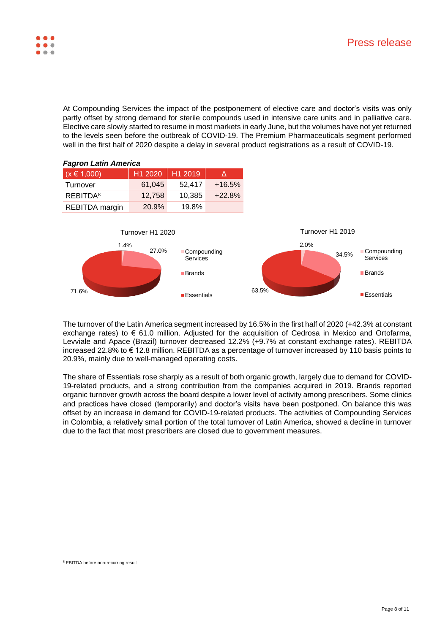

At Compounding Services the impact of the postponement of elective care and doctor's visits was only partly offset by strong demand for sterile compounds used in intensive care units and in palliative care. Elective care slowly started to resume in most markets in early June, but the volumes have not yet returned to the levels seen before the outbreak of COVID-19. The Premium Pharmaceuticals segment performed well in the first half of 2020 despite a delay in several product registrations as a result of COVID-19.



The turnover of the Latin America segment increased by 16.5% in the first half of 2020 (+42.3% at constant exchange rates) to  $\epsilon$  61.0 million. Adjusted for the acquisition of Cedrosa in Mexico and Ortofarma, Levviale and Apace (Brazil) turnover decreased 12.2% (+9.7% at constant exchange rates). REBITDA increased 22.8% to € 12.8 million. REBITDA as a percentage of turnover increased by 110 basis points to 20.9%, mainly due to well-managed operating costs.

The share of Essentials rose sharply as a result of both organic growth, largely due to demand for COVID-19-related products, and a strong contribution from the companies acquired in 2019. Brands reported organic turnover growth across the board despite a lower level of activity among prescribers. Some clinics and practices have closed (temporarily) and doctor's visits have been postponed. On balance this was offset by an increase in demand for COVID-19-related products. The activities of Compounding Services in Colombia, a relatively small portion of the total turnover of Latin America, showed a decline in turnover due to the fact that most prescribers are closed due to government measures.

<sup>8</sup> EBITDA before non-recurring result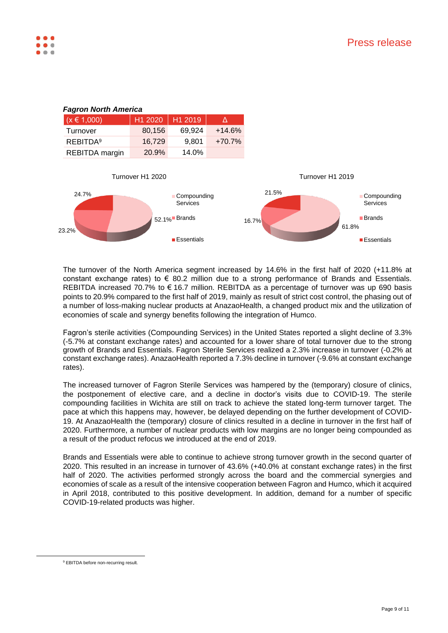

The turnover of the North America segment increased by 14.6% in the first half of 2020 (+11.8% at constant exchange rates) to  $\epsilon$  80.2 million due to a strong performance of Brands and Essentials. REBITDA increased 70.7% to € 16.7 million. REBITDA as a percentage of turnover was up 690 basis points to 20.9% compared to the first half of 2019, mainly as result of strict cost control, the phasing out of a number of loss-making nuclear products at AnazaoHealth, a changed product mix and the utilization of economies of scale and synergy benefits following the integration of Humco.

Fagron's sterile activities (Compounding Services) in the United States reported a slight decline of 3.3% (-5.7% at constant exchange rates) and accounted for a lower share of total turnover due to the strong growth of Brands and Essentials. Fagron Sterile Services realized a 2.3% increase in turnover (-0.2% at constant exchange rates). AnazaoHealth reported a 7.3% decline in turnover (-9.6% at constant exchange rates).

The increased turnover of Fagron Sterile Services was hampered by the (temporary) closure of clinics, the postponement of elective care, and a decline in doctor's visits due to COVID-19. The sterile compounding facilities in Wichita are still on track to achieve the stated long-term turnover target. The pace at which this happens may, however, be delayed depending on the further development of COVID-19. At AnazaoHealth the (temporary) closure of clinics resulted in a decline in turnover in the first half of 2020. Furthermore, a number of nuclear products with low margins are no longer being compounded as a result of the product refocus we introduced at the end of 2019.

Brands and Essentials were able to continue to achieve strong turnover growth in the second quarter of 2020. This resulted in an increase in turnover of 43.6% (+40.0% at constant exchange rates) in the first half of 2020. The activities performed strongly across the board and the commercial synergies and economies of scale as a result of the intensive cooperation between Fagron and Humco, which it acquired in April 2018, contributed to this positive development. In addition, demand for a number of specific COVID-19-related products was higher.

<sup>&</sup>lt;sup>9</sup> EBITDA before non-recurring result.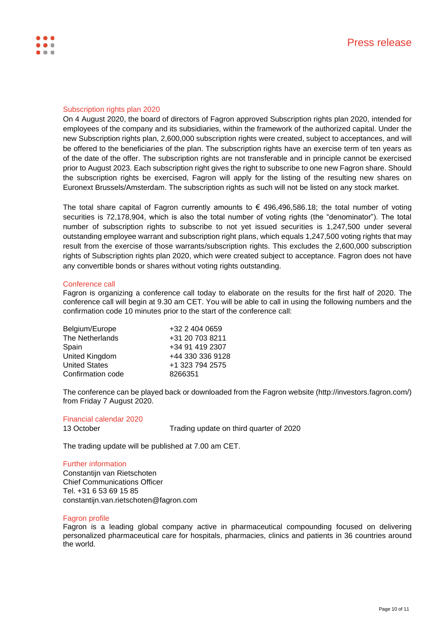

### Subscription rights plan 2020

On 4 August 2020, the board of directors of Fagron approved Subscription rights plan 2020, intended for employees of the company and its subsidiaries, within the framework of the authorized capital. Under the new Subscription rights plan, 2,600,000 subscription rights were created, subject to acceptances, and will be offered to the beneficiaries of the plan. The subscription rights have an exercise term of ten years as of the date of the offer. The subscription rights are not transferable and in principle cannot be exercised prior to August 2023. Each subscription right gives the right to subscribe to one new Fagron share. Should the subscription rights be exercised, Fagron will apply for the listing of the resulting new shares on Euronext Brussels/Amsterdam. The subscription rights as such will not be listed on any stock market.

The total share capital of Fagron currently amounts to  $\epsilon$  496,496,586.18; the total number of voting securities is 72,178,904, which is also the total number of voting rights (the "denominator"). The total number of subscription rights to subscribe to not yet issued securities is 1,247,500 under several outstanding employee warrant and subscription right plans, which equals 1,247,500 voting rights that may result from the exercise of those warrants/subscription rights. This excludes the 2,600,000 subscription rights of Subscription rights plan 2020, which were created subject to acceptance. Fagron does not have any convertible bonds or shares without voting rights outstanding.

### Conference call

Fagron is organizing a conference call today to elaborate on the results for the first half of 2020. The conference call will begin at 9.30 am CET. You will be able to call in using the following numbers and the confirmation code 10 minutes prior to the start of the conference call:

| Belgium/Europe       | +32 2 404 0659   |
|----------------------|------------------|
| The Netherlands      | +31 20 703 8211  |
| Spain                | +34 91 419 2307  |
| United Kingdom       | +44 330 336 9128 |
| <b>United States</b> | +1 323 794 2575  |
| Confirmation code    | 8266351          |

The conference can be played back or downloaded from the Fagron website (http://investors.fagron.com/) from Friday 7 August 2020.

### Financial calendar 2020

13 October Trading update on third quarter of 2020

The trading update will be published at 7.00 am CET.

### Further information

Constantijn van Rietschoten Chief Communications Officer Tel. +31 6 53 69 15 85 constantijn.van.rietschoten@fagron.com

#### Fagron profile

Fagron is a leading global company active in pharmaceutical compounding focused on delivering personalized pharmaceutical care for hospitals, pharmacies, clinics and patients in 36 countries around the world.